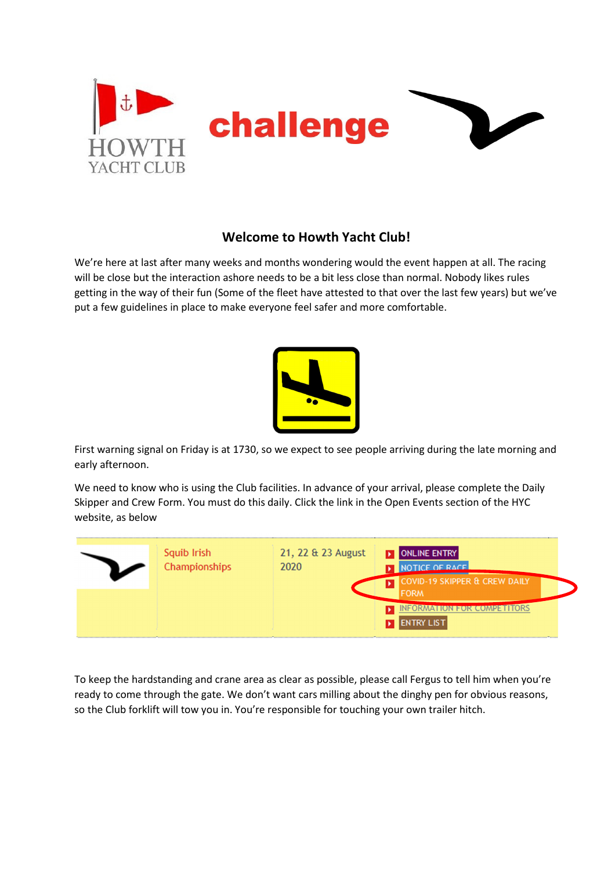

## **Welcome to Howth Yacht Club!**

We're here at last after many weeks and months wondering would the event happen at all. The racing will be close but the interaction ashore needs to be a bit less close than normal. Nobody likes rules getting in the way of their fun (Some of the fleet have attested to that over the last few years) but we've put a few guidelines in place to make everyone feel safer and more comfortable.



First warning signal on Friday is at 1730, so we expect to see people arriving during the late morning and early afternoon.

We need to know who is using the Club facilities. In advance of your arrival, please complete the Daily Skipper and Crew Form. You must do this daily. Click the link in the Open Events section of the HYC website, as below



To keep the hardstanding and crane area as clear as possible, please call Fergus to tell him when you're ready to come through the gate. We don't want cars milling about the dinghy pen for obvious reasons, so the Club forklift will tow you in. You're responsible for touching your own trailer hitch.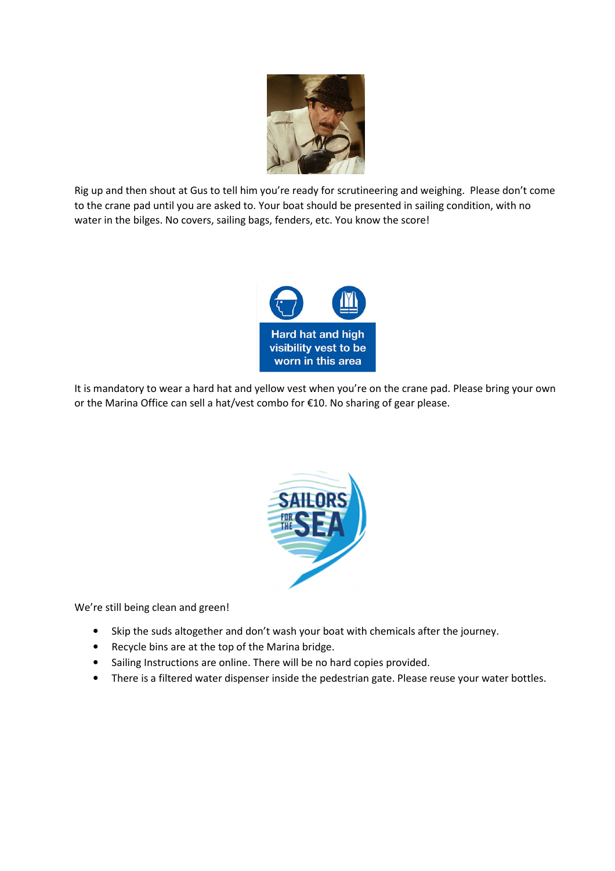

Rig up and then shout at Gus to tell him you're ready for scrutineering and weighing. Please don't come to the crane pad until you are asked to. Your boat should be presented in sailing condition, with no water in the bilges. No covers, sailing bags, fenders, etc. You know the score!



It is mandatory to wear a hard hat and yellow vest when you're on the crane pad. Please bring your own or the Marina Office can sell a hat/vest combo for €10. No sharing of gear please.



We're still being clean and green!

- Skip the suds altogether and don't wash your boat with chemicals after the journey.
- Recycle bins are at the top of the Marina bridge.
- Sailing Instructions are online. There will be no hard copies provided.
- There is a filtered water dispenser inside the pedestrian gate. Please reuse your water bottles.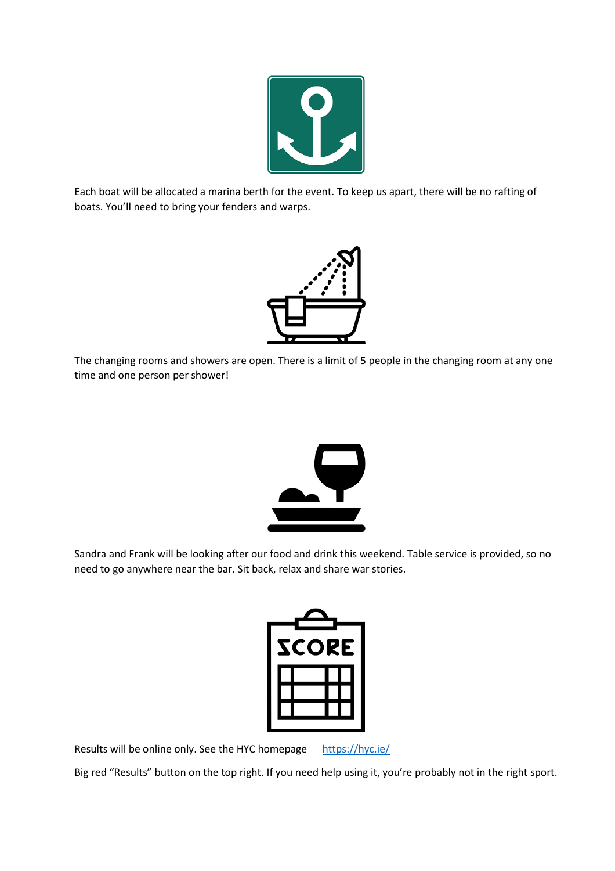

Each boat will be allocated a marina berth for the event. To keep us apart, there will be no rafting of boats. You'll need to bring your fenders and warps.



The changing rooms and showers are open. There is a limit of 5 people in the changing room at any one time and one person per shower!



Sandra and Frank will be looking after our food and drink this weekend. Table service is provided, so no need to go anywhere near the bar. Sit back, relax and share war stories.



Results will be online only. See the HYC homepage https://hyc.ie/

Big red "Results" button on the top right. If you need help using it, you're probably not in the right sport.